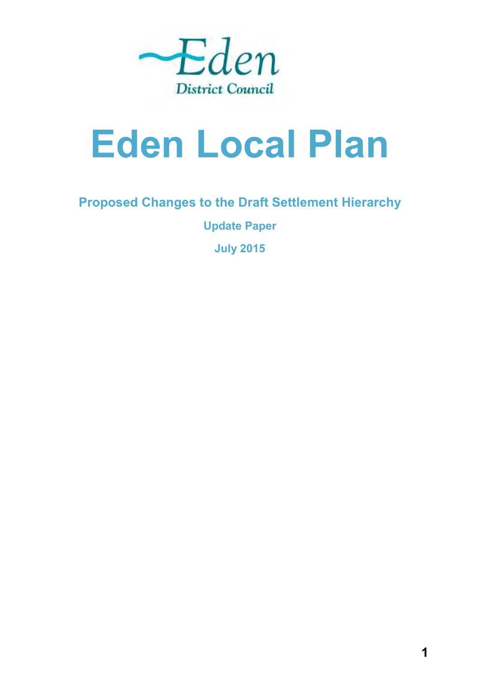

# **Eden Local Plan**

## **Proposed Changes to the Draft Settlement Hierarchy**

**Update Paper** 

**July 2015**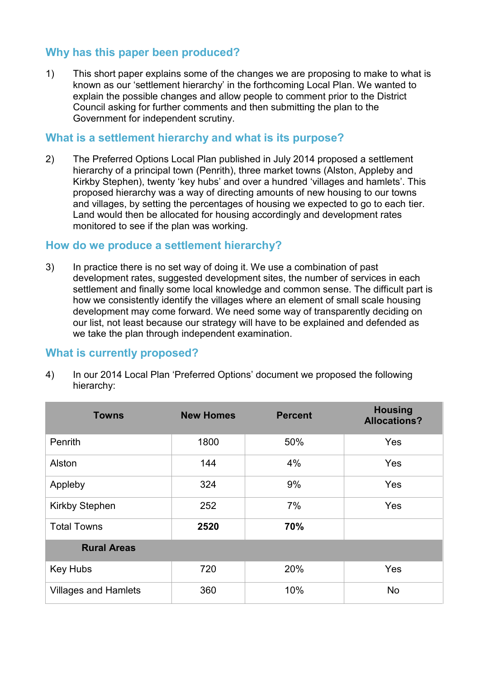## **Why has this paper been produced?**

1) This short paper explains some of the changes we are proposing to make to what is known as our 'settlement hierarchy' in the forthcoming Local Plan. We wanted to explain the possible changes and allow people to comment prior to the District Council asking for further comments and then submitting the plan to the Government for independent scrutiny.

#### **What is a settlement hierarchy and what is its purpose?**

2) The Preferred Options Local Plan published in July 2014 proposed a settlement hierarchy of a principal town (Penrith), three market towns (Alston, Appleby and Kirkby Stephen), twenty 'key hubs' and over a hundred 'villages and hamlets'. This proposed hierarchy was a way of directing amounts of new housing to our towns and villages, by setting the percentages of housing we expected to go to each tier. Land would then be allocated for housing accordingly and development rates monitored to see if the plan was working.

#### **How do we produce a settlement hierarchy?**

3) In practice there is no set way of doing it. We use a combination of past development rates, suggested development sites, the number of services in each settlement and finally some local knowledge and common sense. The difficult part is how we consistently identify the villages where an element of small scale housing development may come forward. We need some way of transparently deciding on our list, not least because our strategy will have to be explained and defended as we take the plan through independent examination.

#### **What is currently proposed?**

4) In our 2014 Local Plan 'Preferred Options' document we proposed the following hierarchy:

| <b>Towns</b>                | <b>New Homes</b> | <b>Percent</b> | <b>Housing</b><br><b>Allocations?</b> |
|-----------------------------|------------------|----------------|---------------------------------------|
| Penrith                     | 1800             | 50%            | Yes                                   |
| Alston                      | 144              | 4%             | Yes                                   |
| Appleby                     | 324              | 9%             | Yes                                   |
| Kirkby Stephen              | 252              | 7%             | <b>Yes</b>                            |
| <b>Total Towns</b>          | 2520             | 70%            |                                       |
| <b>Rural Areas</b>          |                  |                |                                       |
| <b>Key Hubs</b>             | 720              | 20%            | Yes                                   |
| <b>Villages and Hamlets</b> | 360              | 10%            | <b>No</b>                             |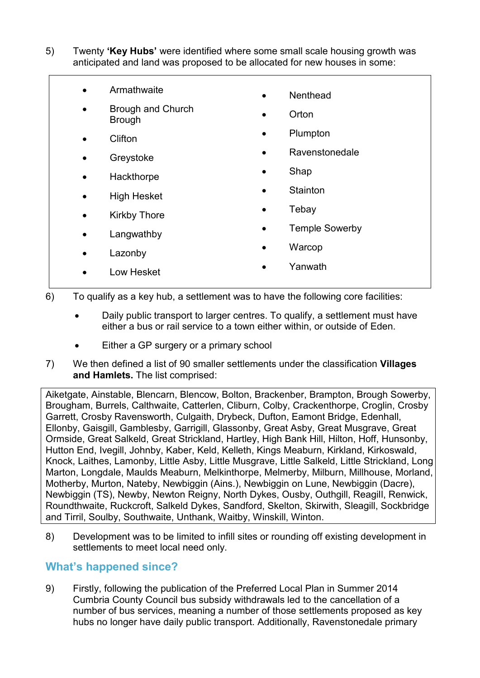- 5) Twenty **'Key Hubs'** were identified where some small scale housing growth was anticipated and land was proposed to be allocated for new houses in some:
	- **•** Armathwaite
	- Brough and Church Brough
	- Clifton
	- Greystoke
	- Hackthorpe
	- High Hesket
	- Kirkby Thore
	- Langwathby
- Nenthead
- Orton
- Plumpton
- Ravenstonedale
- Shap
- **Stainton**
- Tebay
- Temple Sowerby
- **Warcop**
- Yanwath

Low Hesket

• Lazonby

- 6) To qualify as a key hub, a settlement was to have the following core facilities:
	- Daily public transport to larger centres. To qualify, a settlement must have either a bus or rail service to a town either within, or outside of Eden.
	- Either a GP surgery or a primary school
- 7) We then defined a list of 90 smaller settlements under the classification **Villages and Hamlets.** The list comprised:

Aiketgate, Ainstable, Blencarn, Blencow, Bolton, Brackenber, Brampton, Brough Sowerby, Brougham, Burrels, Calthwaite, Catterlen, Cliburn, Colby, Crackenthorpe, Croglin, Crosby Garrett, Crosby Ravensworth, Culgaith, Drybeck, Dufton, Eamont Bridge, Edenhall, Ellonby, Gaisgill, Gamblesby, Garrigill, Glassonby, Great Asby, Great Musgrave, Great Ormside, Great Salkeld, Great Strickland, Hartley, High Bank Hill, Hilton, Hoff, Hunsonby, Hutton End, Ivegill, Johnby, Kaber, Keld, Kelleth, Kings Meaburn, Kirkland, Kirkoswald, Knock, Laithes, Lamonby, Little Asby, Little Musgrave, Little Salkeld, Little Strickland, Long Marton, Longdale, Maulds Meaburn, Melkinthorpe, Melmerby, Milburn, Millhouse, Morland, Motherby, Murton, Nateby, Newbiggin (Ains.), Newbiggin on Lune, Newbiggin (Dacre), Newbiggin (TS), Newby, Newton Reigny, North Dykes, Ousby, Outhgill, Reagill, Renwick, Roundthwaite, Ruckcroft, Salkeld Dykes, Sandford, Skelton, Skirwith, Sleagill, Sockbridge and Tirril, Soulby, Southwaite, Unthank, Waitby, Winskill, Winton.

8) Development was to be limited to infill sites or rounding off existing development in settlements to meet local need only.

#### **What's happened since?**

9) Firstly, following the publication of the Preferred Local Plan in Summer 2014 Cumbria County Council bus subsidy withdrawals led to the cancellation of a number of bus services, meaning a number of those settlements proposed as key hubs no longer have daily public transport. Additionally, Ravenstonedale primary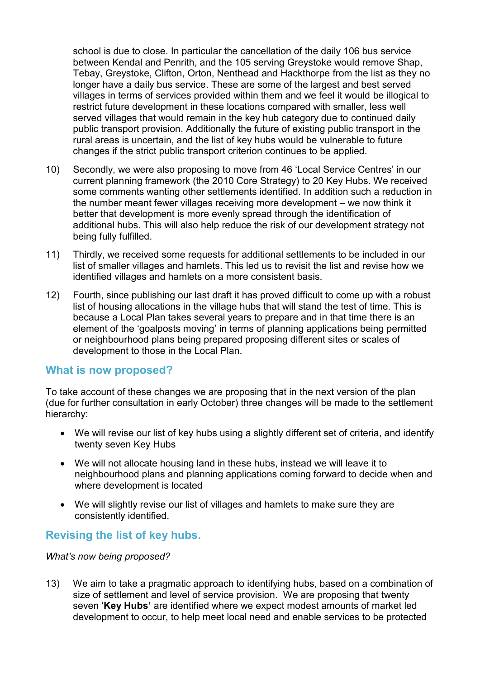school is due to close. In particular the cancellation of the daily 106 bus service between Kendal and Penrith, and the 105 serving Greystoke would remove Shap, Tebay, Greystoke, Clifton, Orton, Nenthead and Hackthorpe from the list as they no longer have a daily bus service. These are some of the largest and best served villages in terms of services provided within them and we feel it would be illogical to restrict future development in these locations compared with smaller, less well served villages that would remain in the key hub category due to continued daily public transport provision. Additionally the future of existing public transport in the rural areas is uncertain, and the list of key hubs would be vulnerable to future changes if the strict public transport criterion continues to be applied.

- 10) Secondly, we were also proposing to move from 46 'Local Service Centres' in our current planning framework (the 2010 Core Strategy) to 20 Key Hubs. We received some comments wanting other settlements identified. In addition such a reduction in the number meant fewer villages receiving more development – we now think it better that development is more evenly spread through the identification of additional hubs. This will also help reduce the risk of our development strategy not being fully fulfilled.
- 11) Thirdly, we received some requests for additional settlements to be included in our list of smaller villages and hamlets. This led us to revisit the list and revise how we identified villages and hamlets on a more consistent basis.
- 12) Fourth, since publishing our last draft it has proved difficult to come up with a robust list of housing allocations in the village hubs that will stand the test of time. This is because a Local Plan takes several years to prepare and in that time there is an element of the 'goalposts moving' in terms of planning applications being permitted or neighbourhood plans being prepared proposing different sites or scales of development to those in the Local Plan.

#### **What is now proposed?**

To take account of these changes we are proposing that in the next version of the plan (due for further consultation in early October) three changes will be made to the settlement hierarchy:

- We will revise our list of key hubs using a slightly different set of criteria, and identify twenty seven Key Hubs
- We will not allocate housing land in these hubs, instead we will leave it to neighbourhood plans and planning applications coming forward to decide when and where development is located
- We will slightly revise our list of villages and hamlets to make sure they are consistently identified.

#### **Revising the list of key hubs.**

*What's now being proposed?* 

13) We aim to take a pragmatic approach to identifying hubs, based on a combination of size of settlement and level of service provision. We are proposing that twenty seven '**Key Hubs'** are identified where we expect modest amounts of market led development to occur, to help meet local need and enable services to be protected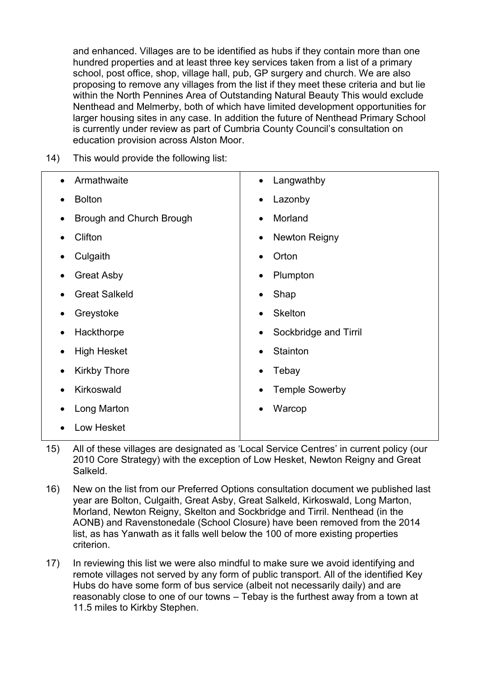and enhanced. Villages are to be identified as hubs if they contain more than one hundred properties and at least three key services taken from a list of a primary school, post office, shop, village hall, pub, GP surgery and church. We are also proposing to remove any villages from the list if they meet these criteria and but lie within the North Pennines Area of Outstanding Natural Beauty This would exclude Nenthead and Melmerby, both of which have limited development opportunities for larger housing sites in any case. In addition the future of Nenthead Primary School is currently under review as part of Cumbria County Council's consultation on education provision across Alston Moor.

14) This would provide the following list:

| Armathwaite                           | Langwathby            |
|---------------------------------------|-----------------------|
| $\bullet$                             | $\bullet$             |
| <b>Bolton</b>                         | Lazonby               |
| $\bullet$                             | ٠                     |
| Brough and Church Brough<br>$\bullet$ | Morland               |
| Clifton                               | Newton Reigny         |
| $\bullet$                             | ٠                     |
| Culgaith                              | Orton                 |
| $\bullet$                             | $\bullet$             |
| <b>Great Asby</b>                     | Plumpton              |
| ٠                                     |                       |
| <b>Great Salkeld</b>                  | Shap<br>$\bullet$     |
| Greystoke                             | <b>Skelton</b>        |
| $\bullet$                             | $\bullet$             |
| Hackthorpe                            | Sockbridge and Tirril |
| ٠                                     |                       |
| <b>High Hesket</b><br>$\bullet$       | Stainton              |
| <b>Kirkby Thore</b>                   | Tebay                 |
| $\bullet$                             | $\bullet$             |
| Kirkoswald<br>$\bullet$               | <b>Temple Sowerby</b> |
| Long Marton                           | Warcop                |
| Low Hesket                            |                       |

- 15) All of these villages are designated as 'Local Service Centres' in current policy (our 2010 Core Strategy) with the exception of Low Hesket, Newton Reigny and Great Salkeld.
- 16) New on the list from our Preferred Options consultation document we published last year are Bolton, Culgaith, Great Asby, Great Salkeld, Kirkoswald, Long Marton, Morland, Newton Reigny, Skelton and Sockbridge and Tirril. Nenthead (in the AONB) and Ravenstonedale (School Closure) have been removed from the 2014 list, as has Yanwath as it falls well below the 100 of more existing properties criterion.
- 17) In reviewing this list we were also mindful to make sure we avoid identifying and remote villages not served by any form of public transport. All of the identified Key Hubs do have some form of bus service (albeit not necessarily daily) and are reasonably close to one of our towns – Tebay is the furthest away from a town at 11.5 miles to Kirkby Stephen.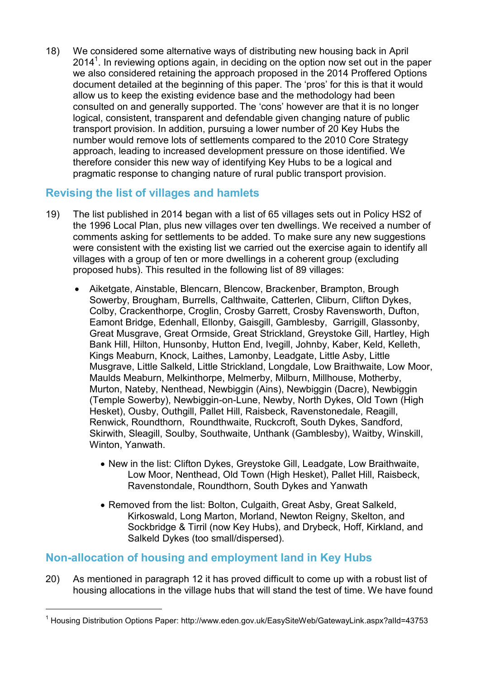18) We considered some alternative ways of distributing new housing back in April 2014<sup>1</sup>. In reviewing options again, in deciding on the option now set out in the paper we also considered retaining the approach proposed in the 2014 Proffered Options document detailed at the beginning of this paper. The 'pros' for this is that it would allow us to keep the existing evidence base and the methodology had been consulted on and generally supported. The 'cons' however are that it is no longer logical, consistent, transparent and defendable given changing nature of public transport provision. In addition, pursuing a lower number of 20 Key Hubs the number would remove lots of settlements compared to the 2010 Core Strategy approach, leading to increased development pressure on those identified. We therefore consider this new way of identifying Key Hubs to be a logical and pragmatic response to changing nature of rural public transport provision.

### **Revising the list of villages and hamlets**

- 19) The list published in 2014 began with a list of 65 villages sets out in Policy HS2 of the 1996 Local Plan, plus new villages over ten dwellings. We received a number of comments asking for settlements to be added. To make sure any new suggestions were consistent with the existing list we carried out the exercise again to identify all villages with a group of ten or more dwellings in a coherent group (excluding proposed hubs). This resulted in the following list of 89 villages:
	- Aiketgate, Ainstable, Blencarn, Blencow, Brackenber, Brampton, Brough Sowerby, Brougham, Burrells, Calthwaite, Catterlen, Cliburn, Clifton Dykes, Colby, Crackenthorpe, Croglin, Crosby Garrett, Crosby Ravensworth, Dufton, Eamont Bridge, Edenhall, Ellonby, Gaisgill, Gamblesby, Garrigill, Glassonby, Great Musgrave, Great Ormside, Great Strickland, Greystoke Gill, Hartley, High Bank Hill, Hilton, Hunsonby, Hutton End, Ivegill, Johnby, Kaber, Keld, Kelleth, Kings Meaburn, Knock, Laithes, Lamonby, Leadgate, Little Asby, Little Musgrave, Little Salkeld, Little Strickland, Longdale, Low Braithwaite, Low Moor, Maulds Meaburn, Melkinthorpe, Melmerby, Milburn, Millhouse, Motherby, Murton, Nateby, Nenthead, Newbiggin (Ains), Newbiggin (Dacre), Newbiggin (Temple Sowerby), Newbiggin-on-Lune, Newby, North Dykes, Old Town (High Hesket), Ousby, Outhgill, Pallet Hill, Raisbeck, Ravenstonedale, Reagill, Renwick, Roundthorn, Roundthwaite, Ruckcroft, South Dykes, Sandford, Skirwith, Sleagill, Soulby, Southwaite, Unthank (Gamblesby), Waitby, Winskill, Winton, Yanwath.
		- New in the list: Clifton Dykes, Greystoke Gill, Leadgate, Low Braithwaite, Low Moor, Nenthead, Old Town (High Hesket), Pallet Hill, Raisbeck, Ravenstondale, Roundthorn, South Dykes and Yanwath
		- Removed from the list: Bolton, Culgaith, Great Asby, Great Salkeld, Kirkoswald, Long Marton, Morland, Newton Reigny, Skelton, and Sockbridge & Tirril (now Key Hubs), and Drybeck, Hoff, Kirkland, and Salkeld Dykes (too small/dispersed).

## **Non-allocation of housing and employment land in Key Hubs**

<u>.</u>

20) As mentioned in paragraph 12 it has proved difficult to come up with a robust list of housing allocations in the village hubs that will stand the test of time. We have found

<sup>&</sup>lt;sup>1</sup> Housing Distribution Options Paper: http://www.eden.gov.uk/EasySiteWeb/GatewayLink.aspx?alId=43753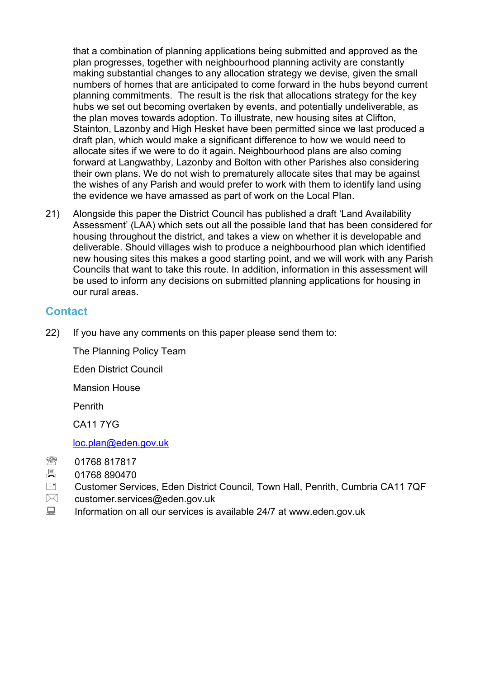that a combination of planning applications being submitted and approved as the plan progresses, together with neighbourhood planning activity are constantly making substantial changes to any allocation strategy we devise, given the small numbers of homes that are anticipated to come forward in the hubs beyond current planning commitments. The result is the risk that allocations strategy for the key hubs we set out becoming overtaken by events, and potentially undeliverable, as the plan moves towards adoption. To illustrate, new housing sites at Clifton, Stainton, Lazonby and High Hesket have been permitted since we last produced a draft plan, which would make a significant difference to how we would need to allocate sites if we were to do it again. Neighbourhood plans are also coming forward at Langwathby, Lazonby and Bolton with other Parishes also considering their own plans. We do not wish to prematurely allocate sites that may be against the wishes of any Parish and would prefer to work with them to identify land using the evidence we have amassed as part of work on the Local Plan.

21) Alongside this paper the District Council has published a draft 'Land Availability Assessment' (LAA) which sets out all the possible land that has been considered for housing throughout the district, and takes a view on whether it is developable and deliverable. Should villages wish to produce a neighbourhood plan which identified new housing sites this makes a good starting point, and we will work with any Parish Councils that want to take this route. In addition, information in this assessment will be used to inform any decisions on submitted planning applications for housing in our rural areas.

#### **Contact**

22) If you have any comments on this paper please send them to:

The Planning Policy Team

Eden District Council

Mansion House

Penrith

CA11 7YG

[loc.plan@eden.gov.uk](mailto:loc.plan@eden.gov.uk)

- 01768 817817
- 01768 890470
- Customer Services, Eden District Council, Town Hall, Penrith, Cumbria CA11 7QF
- $\boxtimes$  customer.services@eden.gov.uk
- Information on all our services is available 24/7 at www.eden.gov.uk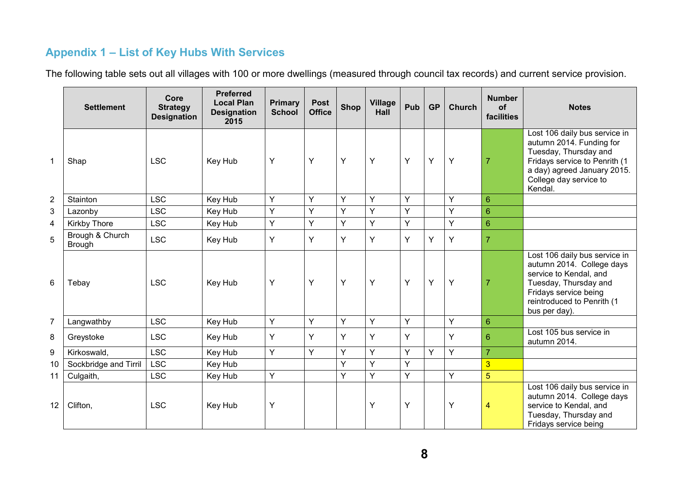## **Appendix 1 – List of Key Hubs With Services**

The following table sets out all villages with 100 or more dwellings (measured through council tax records) and current service provision.

|                 | <b>Settlement</b>                | Core<br><b>Strategy</b><br><b>Designation</b> | <b>Preferred</b><br><b>Local Plan</b><br><b>Designation</b><br>2015 | <b>Primary</b><br><b>School</b> | <b>Post</b><br><b>Office</b> | <b>Shop</b> | <b>Village</b><br>Hall | Pub | <b>GP</b> | Church | <b>Number</b><br>of<br>facilities | <b>Notes</b>                                                                                                                                                                            |
|-----------------|----------------------------------|-----------------------------------------------|---------------------------------------------------------------------|---------------------------------|------------------------------|-------------|------------------------|-----|-----------|--------|-----------------------------------|-----------------------------------------------------------------------------------------------------------------------------------------------------------------------------------------|
| 1               | Shap                             | <b>LSC</b>                                    | Key Hub                                                             | Υ                               | Y                            | Υ           | Y                      | Y   | Y         | Υ      | $\overline{7}$                    | Lost 106 daily bus service in<br>autumn 2014. Funding for<br>Tuesday, Thursday and<br>Fridays service to Penrith (1<br>a day) agreed January 2015.<br>College day service to<br>Kendal. |
| $\overline{2}$  | Stainton                         | <b>LSC</b>                                    | Key Hub                                                             | Y                               | Y                            | Y           | Y                      | Y   |           | Y      | $6\phantom{1}$                    |                                                                                                                                                                                         |
| 3               | Lazonby                          | <b>LSC</b>                                    | Key Hub                                                             | Y                               | Y                            | Y           | Y                      | Y   |           | Y      | $6\phantom{1}$                    |                                                                                                                                                                                         |
| $\overline{4}$  | Kirkby Thore                     | <b>LSC</b>                                    | Key Hub                                                             | Y                               | Y                            | Y           | Y                      | Y   |           | Y      | $6\phantom{1}$                    |                                                                                                                                                                                         |
| 5               | Brough & Church<br><b>Brough</b> | <b>LSC</b>                                    | Key Hub                                                             | Υ                               | Y                            | Y           | Y                      | Y   | Y         | Υ      | $\overline{7}$                    |                                                                                                                                                                                         |
| 6               | Tebay                            | <b>LSC</b>                                    | Key Hub                                                             | Υ                               | Y                            | Y           | Y                      | Y   | Y         | Y      | $\overline{7}$                    | Lost 106 daily bus service in<br>autumn 2014. College days<br>service to Kendal, and<br>Tuesday, Thursday and<br>Fridays service being<br>reintroduced to Penrith (1<br>bus per day).   |
| $\overline{7}$  | Langwathby                       | <b>LSC</b>                                    | Key Hub                                                             | Υ                               | Y                            | Y           | Y                      | Y   |           | Y      | 6                                 |                                                                                                                                                                                         |
| 8               | Greystoke                        | <b>LSC</b>                                    | Key Hub                                                             | Y                               | Y                            | Y           | Ý                      | Y   |           | Ý      | $6\phantom{1}$                    | Lost 105 bus service in<br>autumn 2014.                                                                                                                                                 |
| 9               | Kirkoswald,                      | <b>LSC</b>                                    | Key Hub                                                             | Y                               | Y                            | Y           | Y                      | Y   | Y         | Y      | $\overline{7}$                    |                                                                                                                                                                                         |
| 10              | Sockbridge and Tirril            | <b>LSC</b>                                    | Key Hub                                                             |                                 |                              | Y           | Y                      | Y   |           |        | $\overline{3}$                    |                                                                                                                                                                                         |
| 11              | Culgaith,                        | <b>LSC</b>                                    | Key Hub                                                             | Υ                               |                              | Y           | Y                      | Y   |           | Y      | $\overline{5}$                    |                                                                                                                                                                                         |
| 12 <sup>2</sup> | Clifton,                         | <b>LSC</b>                                    | Key Hub                                                             | Υ                               |                              |             | Y                      | Y   |           | Y      | $\overline{4}$                    | Lost 106 daily bus service in<br>autumn 2014. College days<br>service to Kendal, and<br>Tuesday, Thursday and<br>Fridays service being                                                  |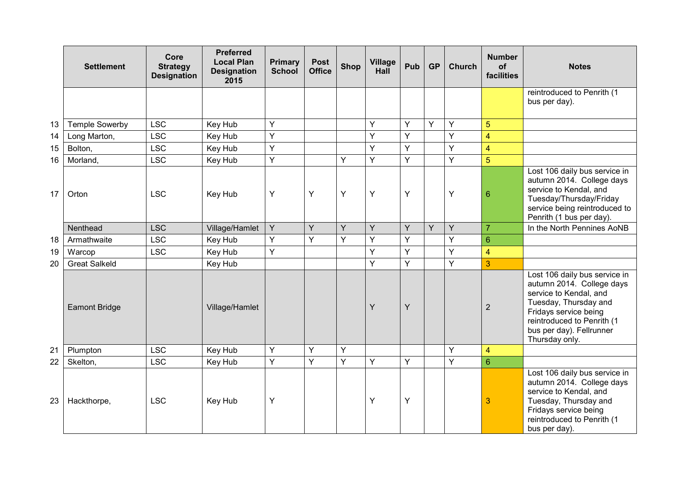|    | <b>Settlement</b>     | Core<br><b>Strategy</b><br><b>Designation</b> | <b>Preferred</b><br><b>Local Plan</b><br><b>Designation</b><br>2015 | <b>Primary</b><br><b>School</b> | <b>Post</b><br><b>Office</b> | <b>Shop</b> | <b>Village</b><br>Hall | Pub | <b>GP</b> | <b>Church</b> | <b>Number</b><br>of<br>facilities | <b>Notes</b>                                                                                                                                                                                                       |
|----|-----------------------|-----------------------------------------------|---------------------------------------------------------------------|---------------------------------|------------------------------|-------------|------------------------|-----|-----------|---------------|-----------------------------------|--------------------------------------------------------------------------------------------------------------------------------------------------------------------------------------------------------------------|
|    |                       |                                               |                                                                     |                                 |                              |             |                        |     |           |               |                                   | reintroduced to Penrith (1<br>bus per day).                                                                                                                                                                        |
| 13 | <b>Temple Sowerby</b> | <b>LSC</b>                                    | Key Hub                                                             | Y                               |                              |             | Y                      | Y   | Y         | Y             | 5                                 |                                                                                                                                                                                                                    |
| 14 | Long Marton,          | <b>LSC</b>                                    | Key Hub                                                             | Y                               |                              |             | Ÿ                      | Y   |           | Ÿ             | $\overline{4}$                    |                                                                                                                                                                                                                    |
| 15 | Bolton,               | <b>LSC</b>                                    | Key Hub                                                             | Y                               |                              |             | Y                      | Y   |           | Ý             | $\overline{4}$                    |                                                                                                                                                                                                                    |
| 16 | Morland,              | <b>LSC</b>                                    | Key Hub                                                             | Y                               |                              | Y           | Y                      | Y   |           | Ÿ             | $\overline{5}$                    |                                                                                                                                                                                                                    |
| 17 | Orton                 | <b>LSC</b>                                    | Key Hub                                                             | Υ                               | Y                            | Y           | Y                      | Y   |           | Y             | $6\phantom{1}6$                   | Lost 106 daily bus service in<br>autumn 2014. College days<br>service to Kendal, and<br>Tuesday/Thursday/Friday<br>service being reintroduced to<br>Penrith (1 bus per day).                                       |
|    | Nenthead              | <b>LSC</b>                                    | Village/Hamlet                                                      | Y                               | Y                            | Y           | Y                      | Y   | Y         | Y             | $\overline{7}$                    | In the North Pennines AoNB                                                                                                                                                                                         |
| 18 | Armathwaite           | <b>LSC</b>                                    | Key Hub                                                             | Y                               | Y                            | Y           | Y                      | Y   |           | Ÿ             | $6\phantom{1}6$                   |                                                                                                                                                                                                                    |
| 19 | Warcop                | <b>LSC</b>                                    | Key Hub                                                             | Y                               |                              |             | Y                      | Y   |           | Y             | $\overline{4}$                    |                                                                                                                                                                                                                    |
| 20 | <b>Great Salkeld</b>  |                                               | Key Hub                                                             |                                 |                              |             | Y                      | Y   |           | Ÿ             | 3                                 |                                                                                                                                                                                                                    |
|    | <b>Eamont Bridge</b>  |                                               | Village/Hamlet                                                      |                                 |                              |             | Ÿ                      | Y   |           |               | $\overline{2}$                    | Lost 106 daily bus service in<br>autumn 2014. College days<br>service to Kendal, and<br>Tuesday, Thursday and<br>Fridays service being<br>reintroduced to Penrith (1<br>bus per day). Fellrunner<br>Thursday only. |
| 21 | Plumpton              | <b>LSC</b>                                    | Key Hub                                                             | Y                               | Y                            | Υ           |                        |     |           | Ý             | $\overline{4}$                    |                                                                                                                                                                                                                    |
| 22 | Skelton,              | <b>LSC</b>                                    | Key Hub                                                             | Y                               | Y                            | Ý           | Y                      | Y   |           | Ý             | $6\phantom{1}6$                   |                                                                                                                                                                                                                    |
| 23 | Hackthorpe,           | <b>LSC</b>                                    | Key Hub                                                             | Υ                               |                              |             | Υ                      | Y   |           |               | $\overline{3}$                    | Lost 106 daily bus service in<br>autumn 2014. College days<br>service to Kendal, and<br>Tuesday, Thursday and<br>Fridays service being<br>reintroduced to Penrith (1<br>bus per day).                              |